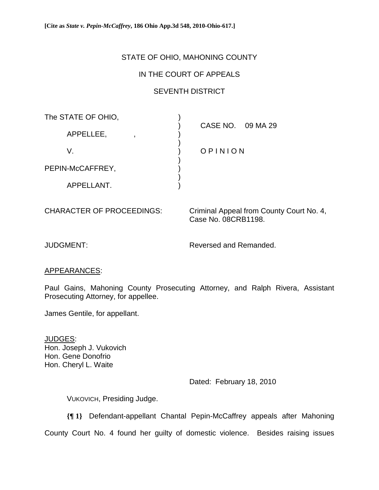**[Cite as** *State v. Pepin-McCaffrey***, 186 Ohio App.3d 548, 2010-Ohio-617.]**

# STATE OF OHIO, MAHONING COUNTY

## IN THE COURT OF APPEALS

## SEVENTH DISTRICT

| The STATE OF OHIO, |                   |
|--------------------|-------------------|
| APPELLEE,          | CASE NO. 09 MA 29 |
| V.                 | OPINION           |
| PEPIN-McCAFFREY,   |                   |
| APPELLANT.         |                   |

CHARACTER OF PROCEEDINGS: Criminal Appeal from County Court No. 4, Case No. 08CRB1198.

JUDGMENT: Reversed and Remanded.

### APPEARANCES:

Paul Gains, Mahoning County Prosecuting Attorney, and Ralph Rivera, Assistant Prosecuting Attorney, for appellee.

James Gentile, for appellant.

JUDGES: Hon. Joseph J. Vukovich Hon. Gene Donofrio Hon. Cheryl L. Waite

Dated: February 18, 2010

VUKOVICH, Presiding Judge.

**{¶ 1}** Defendant-appellant Chantal Pepin-McCaffrey appeals after Mahoning

County Court No. 4 found her guilty of domestic violence. Besides raising issues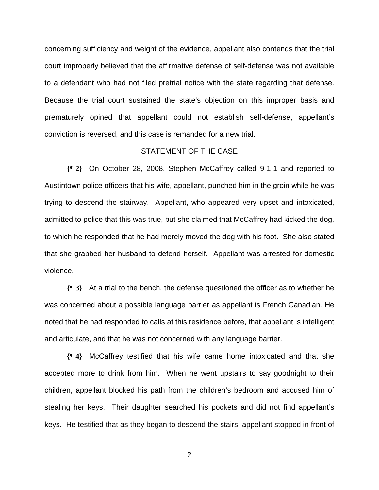concerning sufficiency and weight of the evidence, appellant also contends that the trial court improperly believed that the affirmative defense of self-defense was not available to a defendant who had not filed pretrial notice with the state regarding that defense. Because the trial court sustained the state's objection on this improper basis and prematurely opined that appellant could not establish self-defense, appellant's conviction is reversed, and this case is remanded for a new trial.

### STATEMENT OF THE CASE

**{¶ 2}** On October 28, 2008, Stephen McCaffrey called 9-1-1 and reported to Austintown police officers that his wife, appellant, punched him in the groin while he was trying to descend the stairway. Appellant, who appeared very upset and intoxicated, admitted to police that this was true, but she claimed that McCaffrey had kicked the dog, to which he responded that he had merely moved the dog with his foot. She also stated that she grabbed her husband to defend herself. Appellant was arrested for domestic violence.

**{¶ 3}** At a trial to the bench, the defense questioned the officer as to whether he was concerned about a possible language barrier as appellant is French Canadian. He noted that he had responded to calls at this residence before, that appellant is intelligent and articulate, and that he was not concerned with any language barrier.

**{¶ 4}** McCaffrey testified that his wife came home intoxicated and that she accepted more to drink from him. When he went upstairs to say goodnight to their children, appellant blocked his path from the children's bedroom and accused him of stealing her keys. Their daughter searched his pockets and did not find appellant's keys. He testified that as they began to descend the stairs, appellant stopped in front of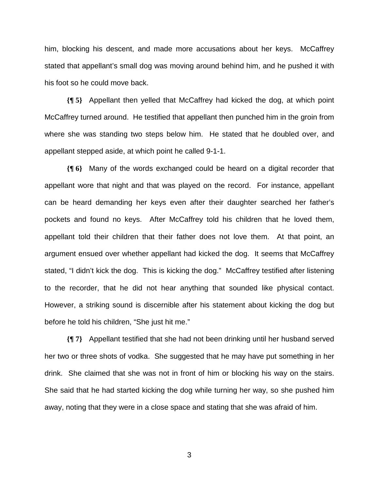him, blocking his descent, and made more accusations about her keys. McCaffrey stated that appellant's small dog was moving around behind him, and he pushed it with his foot so he could move back.

**{¶ 5}** Appellant then yelled that McCaffrey had kicked the dog, at which point McCaffrey turned around. He testified that appellant then punched him in the groin from where she was standing two steps below him. He stated that he doubled over, and appellant stepped aside, at which point he called 9-1-1.

**{¶ 6}** Many of the words exchanged could be heard on a digital recorder that appellant wore that night and that was played on the record. For instance, appellant can be heard demanding her keys even after their daughter searched her father's pockets and found no keys. After McCaffrey told his children that he loved them, appellant told their children that their father does not love them. At that point, an argument ensued over whether appellant had kicked the dog. It seems that McCaffrey stated, "I didn't kick the dog. This is kicking the dog." McCaffrey testified after listening to the recorder, that he did not hear anything that sounded like physical contact. However, a striking sound is discernible after his statement about kicking the dog but before he told his children, "She just hit me."

**{¶ 7}** Appellant testified that she had not been drinking until her husband served her two or three shots of vodka. She suggested that he may have put something in her drink. She claimed that she was not in front of him or blocking his way on the stairs. She said that he had started kicking the dog while turning her way, so she pushed him away, noting that they were in a close space and stating that she was afraid of him.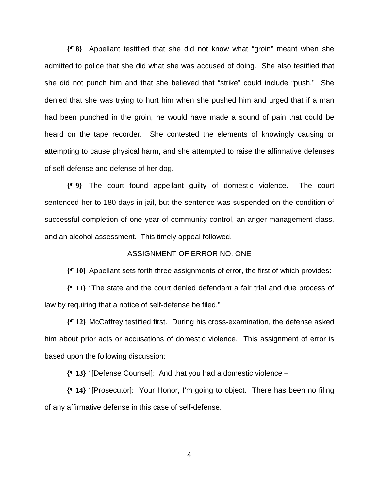**{¶ 8}** Appellant testified that she did not know what "groin" meant when she admitted to police that she did what she was accused of doing. She also testified that she did not punch him and that she believed that "strike" could include "push." She denied that she was trying to hurt him when she pushed him and urged that if a man had been punched in the groin, he would have made a sound of pain that could be heard on the tape recorder. She contested the elements of knowingly causing or attempting to cause physical harm, and she attempted to raise the affirmative defenses of self-defense and defense of her dog.

**{¶ 9}** The court found appellant guilty of domestic violence. The court sentenced her to 180 days in jail, but the sentence was suspended on the condition of successful completion of one year of community control, an anger-management class, and an alcohol assessment. This timely appeal followed.

### ASSIGNMENT OF ERROR NO. ONE

**{¶ 10}** Appellant sets forth three assignments of error, the first of which provides:

**{¶ 11}** "The state and the court denied defendant a fair trial and due process of law by requiring that a notice of self-defense be filed."

**{¶ 12}** McCaffrey testified first. During his cross-examination, the defense asked him about prior acts or accusations of domestic violence. This assignment of error is based upon the following discussion:

**{¶ 13}** "[Defense Counsel]: And that you had a domestic violence –

**{¶ 14}** "[Prosecutor]: Your Honor, I'm going to object. There has been no filing of any affirmative defense in this case of self-defense.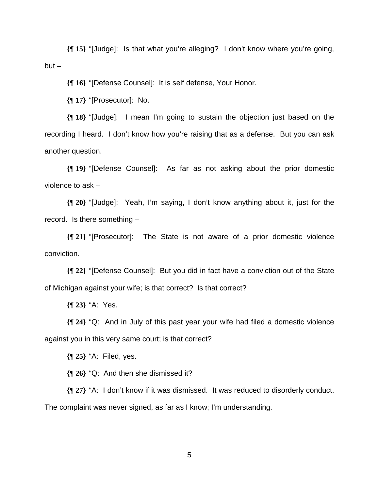**{¶ 15}** "[Judge]: Is that what you're alleging? I don't know where you're going,  $but -$ 

**{¶ 16}** "[Defense Counsel]: It is self defense, Your Honor.

**{¶ 17}** "[Prosecutor]: No.

**{¶ 18}** "[Judge]: I mean I'm going to sustain the objection just based on the recording I heard. I don't know how you're raising that as a defense. But you can ask another question.

**{¶ 19}** "[Defense Counsel]: As far as not asking about the prior domestic violence to ask –

**{¶ 20}** "[Judge]: Yeah, I'm saying, I don't know anything about it, just for the record. Is there something –

**{¶ 21}** "[Prosecutor]: The State is not aware of a prior domestic violence conviction.

**{¶ 22}** "[Defense Counsel]: But you did in fact have a conviction out of the State of Michigan against your wife; is that correct? Is that correct?

**{¶ 23}** "A: Yes.

**{¶ 24}** "Q: And in July of this past year your wife had filed a domestic violence against you in this very same court; is that correct?

**{¶ 25}** "A: Filed, yes.

**{¶ 26}** "Q: And then she dismissed it?

**{¶ 27}** "A: I don't know if it was dismissed. It was reduced to disorderly conduct. The complaint was never signed, as far as I know; I'm understanding.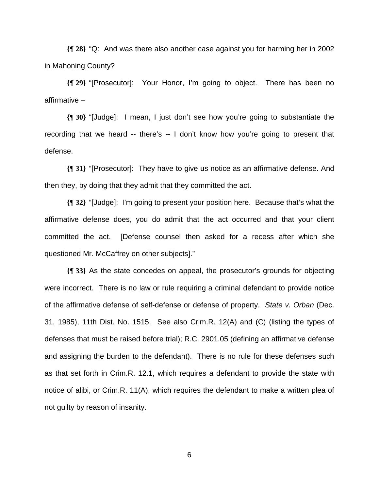**{¶ 28}** "Q: And was there also another case against you for harming her in 2002 in Mahoning County?

**{¶ 29}** "[Prosecutor]: Your Honor, I'm going to object. There has been no affirmative –

**{¶ 30}** "[Judge]: I mean, I just don't see how you're going to substantiate the recording that we heard -- there's -- I don't know how you're going to present that defense.

**{¶ 31}** "[Prosecutor]: They have to give us notice as an affirmative defense. And then they, by doing that they admit that they committed the act.

**{¶ 32}** "[Judge]: I'm going to present your position here. Because that's what the affirmative defense does, you do admit that the act occurred and that your client committed the act. [Defense counsel then asked for a recess after which she questioned Mr. McCaffrey on other subjects]."

**{¶ 33}** As the state concedes on appeal, the prosecutor's grounds for objecting were incorrect. There is no law or rule requiring a criminal defendant to provide notice of the affirmative defense of self-defense or defense of property. *State v. Orban* (Dec. 31, 1985), 11th Dist. No. 1515. See also Crim.R. 12(A) and (C) (listing the types of defenses that must be raised before trial); R.C. 2901.05 (defining an affirmative defense and assigning the burden to the defendant). There is no rule for these defenses such as that set forth in Crim.R. 12.1, which requires a defendant to provide the state with notice of alibi, or Crim.R. 11(A), which requires the defendant to make a written plea of not guilty by reason of insanity.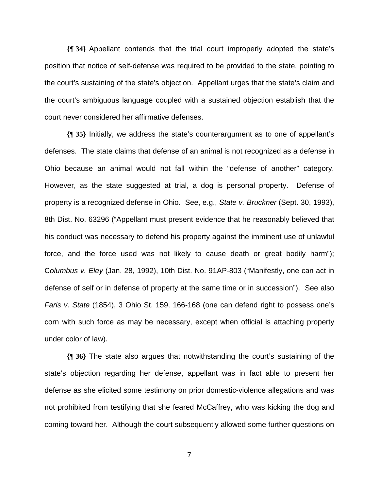**{¶ 34}** Appellant contends that the trial court improperly adopted the state's position that notice of self-defense was required to be provided to the state, pointing to the court's sustaining of the state's objection. Appellant urges that the state's claim and the court's ambiguous language coupled with a sustained objection establish that the court never considered her affirmative defenses.

**{¶ 35}** Initially, we address the state's counterargument as to one of appellant's defenses. The state claims that defense of an animal is not recognized as a defense in Ohio because an animal would not fall within the "defense of another" category. However, as the state suggested at trial, a dog is personal property. Defense of property is a recognized defense in Ohio. See, e.g., *State v. Bruckner* (Sept. 30, 1993), 8th Dist. No. 63296 ("Appellant must present evidence that he reasonably believed that his conduct was necessary to defend his property against the imminent use of unlawful force, and the force used was not likely to cause death or great bodily harm"); C*olumbus v. Eley* (Jan. 28, 1992), 10th Dist. No. 91AP-803 ("Manifestly, one can act in defense of self or in defense of property at the same time or in succession"). See also *Faris v. State* (1854), 3 Ohio St. 159, 166-168 (one can defend right to possess one's corn with such force as may be necessary, except when official is attaching property under color of law).

**{¶ 36}** The state also argues that notwithstanding the court's sustaining of the state's objection regarding her defense, appellant was in fact able to present her defense as she elicited some testimony on prior domestic-violence allegations and was not prohibited from testifying that she feared McCaffrey, who was kicking the dog and coming toward her. Although the court subsequently allowed some further questions on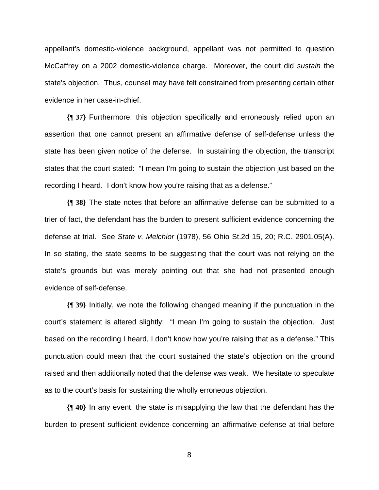appellant's domestic-violence background, appellant was not permitted to question McCaffrey on a 2002 domestic-violence charge. Moreover, the court did *sustain* the state's objection. Thus, counsel may have felt constrained from presenting certain other evidence in her case-in-chief.

**{¶ 37}** Furthermore, this objection specifically and erroneously relied upon an assertion that one cannot present an affirmative defense of self-defense unless the state has been given notice of the defense. In sustaining the objection, the transcript states that the court stated: "I mean I'm going to sustain the objection just based on the recording I heard. I don't know how you're raising that as a defense."

**{¶ 38}** The state notes that before an affirmative defense can be submitted to a trier of fact, the defendant has the burden to present sufficient evidence concerning the defense at trial. See *State v. Melchior* (1978), 56 Ohio St.2d 15, 20; R.C. 2901.05(A). In so stating, the state seems to be suggesting that the court was not relying on the state's grounds but was merely pointing out that she had not presented enough evidence of self-defense.

**{¶ 39}** Initially, we note the following changed meaning if the punctuation in the court's statement is altered slightly: "I mean I'm going to sustain the objection. Just based on the recording I heard, I don't know how you're raising that as a defense." This punctuation could mean that the court sustained the state's objection on the ground raised and then additionally noted that the defense was weak. We hesitate to speculate as to the court's basis for sustaining the wholly erroneous objection.

**{¶ 40}** In any event, the state is misapplying the law that the defendant has the burden to present sufficient evidence concerning an affirmative defense at trial before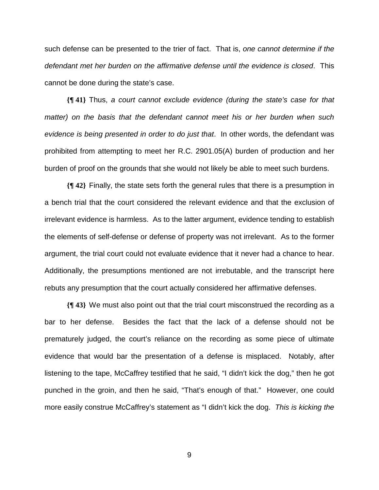such defense can be presented to the trier of fact. That is, *one cannot determine if the defendant met her burden on the affirmative defense until the evidence is closed*. This cannot be done during the state's case.

**{¶ 41}** Thus, *a court cannot exclude evidence (during the state's case for that matter)* on the basis that the defendant cannot meet his or her burden when such *evidence is being presented in order to do just that*. In other words, the defendant was prohibited from attempting to meet her R.C. 2901.05(A) burden of production and her burden of proof on the grounds that she would not likely be able to meet such burdens.

**{¶ 42}** Finally, the state sets forth the general rules that there is a presumption in a bench trial that the court considered the relevant evidence and that the exclusion of irrelevant evidence is harmless. As to the latter argument, evidence tending to establish the elements of self-defense or defense of property was not irrelevant. As to the former argument, the trial court could not evaluate evidence that it never had a chance to hear. Additionally, the presumptions mentioned are not irrebutable, and the transcript here rebuts any presumption that the court actually considered her affirmative defenses.

**{¶ 43}** We must also point out that the trial court misconstrued the recording as a bar to her defense. Besides the fact that the lack of a defense should not be prematurely judged, the court's reliance on the recording as some piece of ultimate evidence that would bar the presentation of a defense is misplaced. Notably, after listening to the tape, McCaffrey testified that he said, "I didn't kick the dog," then he got punched in the groin, and then he said, "That's enough of that." However, one could more easily construe McCaffrey's statement as "I didn't kick the dog. *This is kicking the*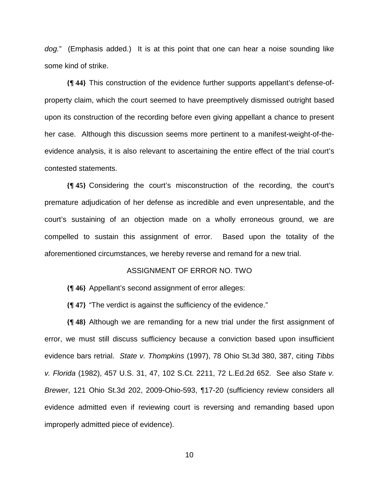*dog.*" (Emphasis added.) It is at this point that one can hear a noise sounding like some kind of strike.

**{¶ 44}** This construction of the evidence further supports appellant's defense-ofproperty claim, which the court seemed to have preemptively dismissed outright based upon its construction of the recording before even giving appellant a chance to present her case. Although this discussion seems more pertinent to a manifest-weight-of-theevidence analysis, it is also relevant to ascertaining the entire effect of the trial court's contested statements.

**{¶ 45}** Considering the court's misconstruction of the recording, the court's premature adjudication of her defense as incredible and even unpresentable, and the court's sustaining of an objection made on a wholly erroneous ground, we are compelled to sustain this assignment of error. Based upon the totality of the aforementioned circumstances, we hereby reverse and remand for a new trial.

#### ASSIGNMENT OF ERROR NO. TWO

**{¶ 46}** Appellant's second assignment of error alleges:

**{¶ 47}** "The verdict is against the sufficiency of the evidence."

**{¶ 48}** Although we are remanding for a new trial under the first assignment of error, we must still discuss sufficiency because a conviction based upon insufficient evidence bars retrial. *State v. Thompkins* (1997), 78 Ohio St.3d 380, 387, citing *Tibbs v. Florida* (1982), 457 U.S. 31, 47, 102 S.Ct. 2211, 72 L.Ed.2d 652. See also *State v. Brewer*, 121 Ohio St.3d 202, 2009-Ohio-593, ¶17-20 (sufficiency review considers all evidence admitted even if reviewing court is reversing and remanding based upon improperly admitted piece of evidence).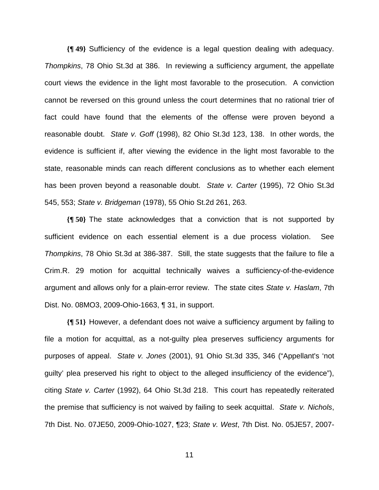**{¶ 49}** Sufficiency of the evidence is a legal question dealing with adequacy. *Thompkins*, 78 Ohio St.3d at 386. In reviewing a sufficiency argument, the appellate court views the evidence in the light most favorable to the prosecution. A conviction cannot be reversed on this ground unless the court determines that no rational trier of fact could have found that the elements of the offense were proven beyond a reasonable doubt. *State v. Goff* (1998), 82 Ohio St.3d 123, 138. In other words, the evidence is sufficient if, after viewing the evidence in the light most favorable to the state, reasonable minds can reach different conclusions as to whether each element has been proven beyond a reasonable doubt. *State v. Carter* (1995), 72 Ohio St.3d 545, 553; *State v. Bridgeman* (1978), 55 Ohio St.2d 261, 263.

**{¶ 50}** The state acknowledges that a conviction that is not supported by sufficient evidence on each essential element is a due process violation. See *Thompkins*, 78 Ohio St.3d at 386-387. Still, the state suggests that the failure to file a Crim.R. 29 motion for acquittal technically waives a sufficiency-of-the-evidence argument and allows only for a plain-error review. The state cites *State v. Haslam*, 7th Dist. No. 08MO3, 2009-Ohio-1663, ¶ 31, in support.

**{¶ 51}** However, a defendant does not waive a sufficiency argument by failing to file a motion for acquittal, as a not-guilty plea preserves sufficiency arguments for purposes of appeal. *State v. Jones* (2001), 91 Ohio St.3d 335, 346 ("Appellant's 'not guilty' plea preserved his right to object to the alleged insufficiency of the evidence"), citing *State v. Carter* (1992), 64 Ohio St.3d 218. This court has repeatedly reiterated the premise that sufficiency is not waived by failing to seek acquittal. *State v. Nichols*, 7th Dist. No. 07JE50, 2009-Ohio-1027, ¶23; *State v. West*, 7th Dist. No. 05JE57, 2007-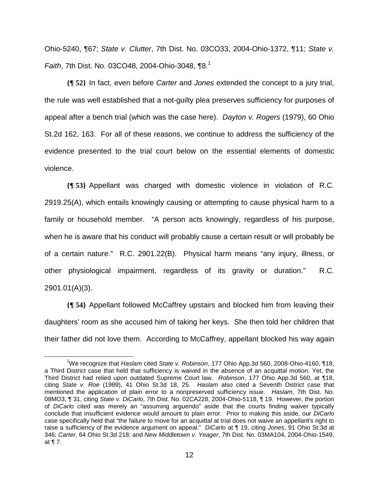Ohio-5240, ¶67; *State v. Clutter*, 7th Dist. No. 03CO33, 2004-Ohio-1372, ¶11; *State v. Faith*, 7th Dist. No. 03CO48, 2004-Ohio-3048, 18.<sup>1</sup>

**{¶ 52}** In fact, even before *Carter* and *Jones* extended the concept to a jury trial, the rule was well established that a not-guilty plea preserves sufficiency for purposes of appeal after a bench trial (which was the case here). *Dayton v. Rogers* (1979), 60 Ohio St.2d 162, 163. For all of these reasons, we continue to address the sufficiency of the evidence presented to the trial court below on the essential elements of domestic violence.

**{¶ 53}** Appellant was charged with domestic violence in violation of R.C. 2919.25(A), which entails knowingly causing or attempting to cause physical harm to a family or household member. "A person acts knowingly, regardless of his purpose, when he is aware that his conduct will probably cause a certain result or will probably be of a certain nature." R.C. 2901.22(B). Physical harm means "any injury, illness, or other physiological impairment, regardless of its gravity or duration." R.C. 2901.01(A)(3).

**{¶ 54}** Appellant followed McCaffrey upstairs and blocked him from leaving their daughters' room as she accused him of taking her keys. She then told her children that their father did not love them. According to McCaffrey, appellant blocked his way again

 $\frac{1}{1}$ We recognize that *Haslam* cited *State v. Robinson*, 177 Ohio App.3d 560, 2008-Ohio-4160, ¶18, a Third District case that held that sufficiency is waived in the absence of an acquittal motion. Yet, the Third District had relied upon outdated Supreme Court law. *Robinson*, 177 Ohio App.3d 560, at ¶18, citing *State v. Roe* (1989), 41 Ohio St.3d 18, 25. *Haslam* also cited a Seventh District case that mentioned the application of plain error to a nonpreserved sufficiency issue. *Haslam*, 7th Dist. No. 08MO3, ¶ 31, citing *State v. DiCarlo*, 7th Dist. No. 02CA228, 2004-Ohio-5118, ¶ 19. However, the portion of *DiCarlo* cited was merely an "assuming arguendo" aside that the courts finding waiver typically conclude that insufficient evidence would amount to plain error. Prior to making this aside, our *DiCarlo* case specifically held that "the failure to move for an acquittal at trial does not waive an appellant's right to raise a sufficiency of the evidence argument on appeal." *DiCarlo* at ¶ 19, citing *Jones*, 91 Ohio St.3d at 346; *Carter*, 64 Ohio St.3d 218; and *New Middletown v. Yeager*, 7th Dist. No. 03MA104, 2004-Ohio-1549, at ¶ 7.